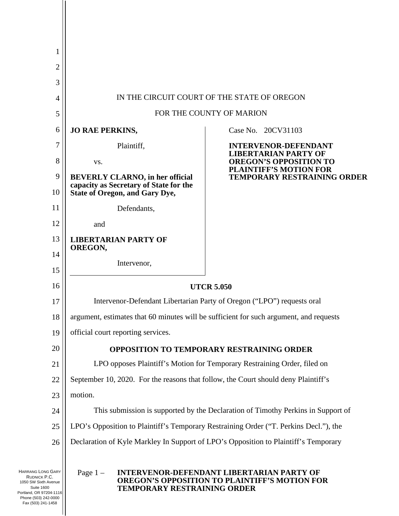| 1                                                                                                                                        |                                                                                        |                                                                                                          |  |  |  |  |  |  |
|------------------------------------------------------------------------------------------------------------------------------------------|----------------------------------------------------------------------------------------|----------------------------------------------------------------------------------------------------------|--|--|--|--|--|--|
| $\mathbf{2}$                                                                                                                             |                                                                                        |                                                                                                          |  |  |  |  |  |  |
| 3                                                                                                                                        |                                                                                        |                                                                                                          |  |  |  |  |  |  |
| $\overline{4}$                                                                                                                           |                                                                                        | IN THE CIRCUIT COURT OF THE STATE OF OREGON                                                              |  |  |  |  |  |  |
| 5                                                                                                                                        | FOR THE COUNTY OF MARION                                                               |                                                                                                          |  |  |  |  |  |  |
| 6                                                                                                                                        | <b>JO RAE PERKINS,</b>                                                                 | Case No. 20CV31103                                                                                       |  |  |  |  |  |  |
| 7                                                                                                                                        | Plaintiff,                                                                             | <b>INTERVENOR-DEFENDANT</b><br><b>LIBERTARIAN PARTY OF</b>                                               |  |  |  |  |  |  |
| 8                                                                                                                                        | VS.                                                                                    | <b>OREGON'S OPPOSITION TO</b><br><b>PLAINTIFF'S MOTION FOR</b>                                           |  |  |  |  |  |  |
| 9                                                                                                                                        | <b>BEVERLY CLARNO, in her official</b><br>capacity as Secretary of State for the       | TEMPORARY RESTRAINING ORDER                                                                              |  |  |  |  |  |  |
| 10                                                                                                                                       | <b>State of Oregon, and Gary Dye,</b>                                                  |                                                                                                          |  |  |  |  |  |  |
| 11                                                                                                                                       | Defendants,                                                                            |                                                                                                          |  |  |  |  |  |  |
| 12                                                                                                                                       | and                                                                                    |                                                                                                          |  |  |  |  |  |  |
| 13                                                                                                                                       | <b>LIBERTARIAN PARTY OF</b><br>OREGON,                                                 |                                                                                                          |  |  |  |  |  |  |
| 14                                                                                                                                       | Intervenor,                                                                            |                                                                                                          |  |  |  |  |  |  |
| 15                                                                                                                                       |                                                                                        |                                                                                                          |  |  |  |  |  |  |
| 16                                                                                                                                       | <b>UTCR 5.050</b>                                                                      |                                                                                                          |  |  |  |  |  |  |
| 17                                                                                                                                       | Intervenor-Defendant Libertarian Party of Oregon ("LPO") requests oral                 |                                                                                                          |  |  |  |  |  |  |
| 18                                                                                                                                       | argument, estimates that 60 minutes will be sufficient for such argument, and requests |                                                                                                          |  |  |  |  |  |  |
| 19                                                                                                                                       | official court reporting services.                                                     |                                                                                                          |  |  |  |  |  |  |
| 20                                                                                                                                       | <b>OPPOSITION TO TEMPORARY RESTRAINING ORDER</b>                                       |                                                                                                          |  |  |  |  |  |  |
| 21                                                                                                                                       | LPO opposes Plaintiff's Motion for Temporary Restraining Order, filed on               |                                                                                                          |  |  |  |  |  |  |
| 22                                                                                                                                       | September 10, 2020. For the reasons that follow, the Court should deny Plaintiff's     |                                                                                                          |  |  |  |  |  |  |
| 23                                                                                                                                       | motion.                                                                                |                                                                                                          |  |  |  |  |  |  |
| 24                                                                                                                                       | This submission is supported by the Declaration of Timothy Perkins in Support of       |                                                                                                          |  |  |  |  |  |  |
| 25                                                                                                                                       | LPO's Opposition to Plaintiff's Temporary Restraining Order ("T. Perkins Decl."), the  |                                                                                                          |  |  |  |  |  |  |
| 26                                                                                                                                       | Declaration of Kyle Markley In Support of LPO's Opposition to Plaintiff's Temporary    |                                                                                                          |  |  |  |  |  |  |
| <b>HARRANG LONG GARY</b><br>RUDNICK P.C.<br>1050 SW Sixth Avenue<br><b>Suite 1600</b><br>Portland, OR 97204-1116<br>Phone (503) 242-0000 | Page $1 -$<br>TEMPORARY RESTRAINING ORDER                                              | <b>INTERVENOR-DEFENDANT LIBERTARIAN PARTY OF</b><br><b>OREGON'S OPPOSITION TO PLAINTIFF'S MOTION FOR</b> |  |  |  |  |  |  |

Fax (503) 241-1458

 $\overline{1}$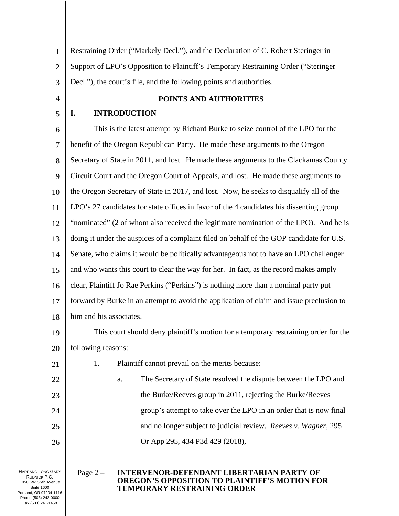1 2 3 Restraining Order ("Markely Decl."), and the Declaration of C. Robert Steringer in Support of LPO's Opposition to Plaintiff's Temporary Restraining Order ("Steringer Decl."), the court's file, and the following points and authorities.

4

5

#### **POINTS AND AUTHORITIES**

### **I. INTRODUCTION**

6 7 8 9 10 11 12 13 14 15 16 17 18 This is the latest attempt by Richard Burke to seize control of the LPO for the benefit of the Oregon Republican Party. He made these arguments to the Oregon Secretary of State in 2011, and lost. He made these arguments to the Clackamas County Circuit Court and the Oregon Court of Appeals, and lost. He made these arguments to the Oregon Secretary of State in 2017, and lost. Now, he seeks to disqualify all of the LPO's 27 candidates for state offices in favor of the 4 candidates his dissenting group "nominated" (2 of whom also received the legitimate nomination of the LPO). And he is doing it under the auspices of a complaint filed on behalf of the GOP candidate for U.S. Senate, who claims it would be politically advantageous not to have an LPO challenger and who wants this court to clear the way for her. In fact, as the record makes amply clear, Plaintiff Jo Rae Perkins ("Perkins") is nothing more than a nominal party put forward by Burke in an attempt to avoid the application of claim and issue preclusion to him and his associates.

19 20 This court should deny plaintiff's motion for a temporary restraining order for the following reasons:

1. Plaintiff cannot prevail on the merits because:

22 23 24 25 26 a. The Secretary of State resolved the dispute between the LPO and the Burke/Reeves group in 2011, rejecting the Burke/Reeves group's attempt to take over the LPO in an order that is now final and no longer subject to judicial review. *Reeves v. Wagner*, 295 Or App 295, 434 P3d 429 (2018),

HARRANG LONG GARY RUDNICK P.C. 1050 SW Sixth Avenue Suite 1600 Portland, OR 97204-1116 Phone (503) 242-0000 Fax (503) 241-1458

21

#### Page 2 – **INTERVENOR-DEFENDANT LIBERTARIAN PARTY OF OREGON'S OPPOSITION TO PLAINTIFF'S MOTION FOR TEMPORARY RESTRAINING ORDER**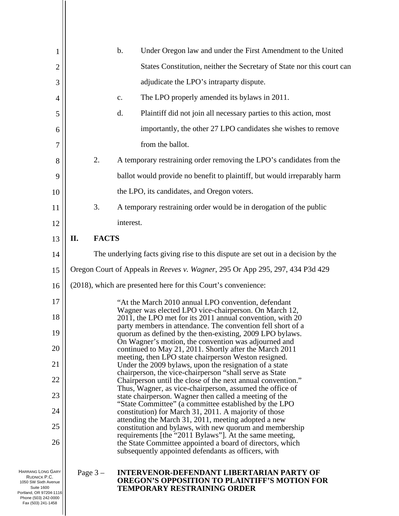| 1                                                         |                                                                                                                                                                    |              | $b$ .     | Under Oregon law and under the First Amendment to the United                                                                                                               |
|-----------------------------------------------------------|--------------------------------------------------------------------------------------------------------------------------------------------------------------------|--------------|-----------|----------------------------------------------------------------------------------------------------------------------------------------------------------------------------|
| $\overline{c}$                                            |                                                                                                                                                                    |              |           | States Constitution, neither the Secretary of State nor this court can                                                                                                     |
| 3                                                         |                                                                                                                                                                    |              |           | adjudicate the LPO's intraparty dispute.                                                                                                                                   |
| $\overline{4}$                                            |                                                                                                                                                                    |              | c.        | The LPO properly amended its bylaws in 2011.                                                                                                                               |
| 5                                                         |                                                                                                                                                                    |              | d.        | Plaintiff did not join all necessary parties to this action, most                                                                                                          |
| 6                                                         |                                                                                                                                                                    |              |           | importantly, the other 27 LPO candidates she wishes to remove                                                                                                              |
| 7                                                         |                                                                                                                                                                    |              |           | from the ballot.                                                                                                                                                           |
| 8                                                         |                                                                                                                                                                    | 2.           |           | A temporary restraining order removing the LPO's candidates from the                                                                                                       |
| 9                                                         |                                                                                                                                                                    |              |           | ballot would provide no benefit to plaintiff, but would irreparably harm                                                                                                   |
| 10                                                        |                                                                                                                                                                    |              |           | the LPO, its candidates, and Oregon voters.                                                                                                                                |
| 11                                                        |                                                                                                                                                                    | 3.           |           | A temporary restraining order would be in derogation of the public                                                                                                         |
| 12                                                        |                                                                                                                                                                    |              | interest. |                                                                                                                                                                            |
| 13                                                        | П.                                                                                                                                                                 | <b>FACTS</b> |           |                                                                                                                                                                            |
| 14                                                        | The underlying facts giving rise to this dispute are set out in a decision by the<br>Oregon Court of Appeals in Reeves v. Wagner, 295 Or App 295, 297, 434 P3d 429 |              |           |                                                                                                                                                                            |
| 15                                                        |                                                                                                                                                                    |              |           |                                                                                                                                                                            |
| 16                                                        |                                                                                                                                                                    |              |           | (2018), which are presented here for this Court's convenience:                                                                                                             |
| 17                                                        |                                                                                                                                                                    |              |           | "At the March 2010 annual LPO convention, defendant                                                                                                                        |
| 18                                                        |                                                                                                                                                                    |              |           | Wagner was elected LPO vice-chairperson. On March 12,<br>2011, the LPO met for its 2011 annual convention, with 20                                                         |
| 19                                                        |                                                                                                                                                                    |              |           | party members in attendance. The convention fell short of a<br>quorum as defined by the then-existing, 2009 LPO bylaws.                                                    |
| 20                                                        |                                                                                                                                                                    |              |           | On Wagner's motion, the convention was adjourned and<br>continued to May 21, 2011. Shortly after the March 2011                                                            |
| 21                                                        |                                                                                                                                                                    |              |           | meeting, then LPO state chairperson Weston resigned.<br>Under the 2009 bylaws, upon the resignation of a state                                                             |
| 22                                                        |                                                                                                                                                                    |              |           | chairperson, the vice-chairperson "shall serve as State<br>Chairperson until the close of the next annual convention."                                                     |
| 23                                                        |                                                                                                                                                                    |              |           | Thus, Wagner, as vice-chairperson, assumed the office of<br>state chairperson. Wagner then called a meeting of the                                                         |
| 24                                                        |                                                                                                                                                                    |              |           | "State Committee" (a committee established by the LPO<br>constitution) for March 31, 2011. A majority of those                                                             |
| 25                                                        |                                                                                                                                                                    |              |           | attending the March 31, 2011, meeting adopted a new<br>constitution and bylaws, with new quorum and membership                                                             |
| 26                                                        |                                                                                                                                                                    |              |           | requirements [the "2011 Bylaws"]. At the same meeting,<br>the State Committee appointed a board of directors, which<br>subsequently appointed defendants as officers, with |
| HARRANG LONG GARY<br>RUDNICK P.C.<br>1050 SW Sixth Avenue |                                                                                                                                                                    | Page $3-$    |           | <b>INTERVENOR-DEFENDANT LIBERTARIAN PARTY OF</b><br><b>OREGON'S OPPOSITION TO PLAINTIFF'S MOTION FOR</b>                                                                   |

**TEMPORARY RESTRAINING ORDER**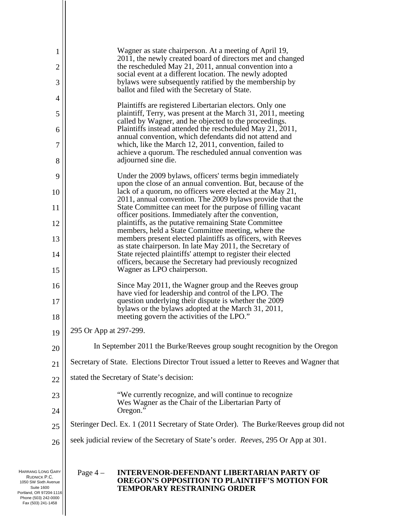| $\mathbf{1}$                                                                          | Wagner as state chairperson. At a meeting of April 19,                                                                                                                            |
|---------------------------------------------------------------------------------------|-----------------------------------------------------------------------------------------------------------------------------------------------------------------------------------|
| $\overline{2}$                                                                        | 2011, the newly created board of directors met and changed<br>the rescheduled May 21, 2011, annual convention into a                                                              |
| 3                                                                                     | social event at a different location. The newly adopted<br>by laws were subsequently ratified by the membership by                                                                |
| 4                                                                                     | ballot and filed with the Secretary of State.                                                                                                                                     |
| 5                                                                                     | Plaintiffs are registered Libertarian electors. Only one<br>plaintiff, Terry, was present at the March 31, 2011, meeting<br>called by Wagner, and he objected to the proceedings. |
| 6                                                                                     | Plaintiffs instead attended the rescheduled May 21, 2011,                                                                                                                         |
| $\overline{7}$                                                                        | annual convention, which defendants did not attend and<br>which, like the March 12, 2011, convention, failed to                                                                   |
| 8                                                                                     | achieve a quorum. The rescheduled annual convention was<br>adjourned sine die.                                                                                                    |
| 9                                                                                     | Under the 2009 bylaws, officers' terms begin immediately                                                                                                                          |
| 10                                                                                    | upon the close of an annual convention. But, because of the<br>lack of a quorum, no officers were elected at the May 21,                                                          |
| 11                                                                                    | 2011, annual convention. The 2009 bylaws provide that the<br>State Committee can meet for the purpose of filling vacant                                                           |
| 12                                                                                    | officer positions. Immediately after the convention,<br>plaintiffs, as the putative remaining State Committee                                                                     |
| 13                                                                                    | members, held a State Committee meeting, where the<br>members present elected plaintiffs as officers, with Reeves                                                                 |
| 14                                                                                    | as state chairperson. In late May 2011, the Secretary of<br>State rejected plaintiffs' attempt to register their elected                                                          |
| 15                                                                                    | officers, because the Secretary had previously recognized<br>Wagner as LPO chairperson.                                                                                           |
| 16                                                                                    | Since May 2011, the Wagner group and the Reeves group                                                                                                                             |
| 17                                                                                    | have vied for leadership and control of the LPO. The<br>question underlying their dispute is whether the 2009                                                                     |
| 18                                                                                    | bylaws or the bylaws adopted at the March 31, 2011,<br>meeting govern the activities of the LPO."                                                                                 |
| 19                                                                                    | 295 Or App at 297-299.                                                                                                                                                            |
| 20                                                                                    | In September 2011 the Burke/Reeves group sought recognition by the Oregon                                                                                                         |
| 21                                                                                    | Secretary of State. Elections Director Trout issued a letter to Reeves and Wagner that                                                                                            |
| 22                                                                                    | stated the Secretary of State's decision:                                                                                                                                         |
| 23                                                                                    | "We currently recognize, and will continue to recognize                                                                                                                           |
| 24                                                                                    | Wes Wagner as the Chair of the Libertarian Party of<br>Oregon."                                                                                                                   |
| 25                                                                                    | Steringer Decl. Ex. 1 (2011 Secretary of State Order). The Burke/Reeves group did not                                                                                             |
| 26                                                                                    | seek judicial review of the Secretary of State's order. Reeves, 295 Or App at 301.                                                                                                |
| <b>HARRANG LONG GARY</b><br>RUDNICK P.C.<br>1050 SW Sixth Avenue<br><b>Suite 1600</b> | Page $4-$<br><b>INTERVENOR-DEFENDANT LIBERTARIAN PARTY OF</b><br><b>OREGON'S OPPOSITION TO PLAINTIFF'S MOTION FOR</b><br><b>TEMPORARY RESTRAINING ORDER</b>                       |

Portland, OR 97204-1116 Phone (503) 242-0000 Fax (503) 241-1458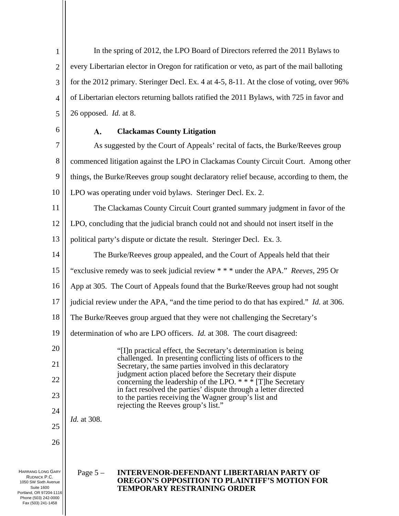1 2 3 4 5 In the spring of 2012, the LPO Board of Directors referred the 2011 Bylaws to every Libertarian elector in Oregon for ratification or veto, as part of the mail balloting for the 2012 primary. Steringer Decl. Ex. 4 at 4-5, 8-11. At the close of voting, over 96% of Libertarian electors returning ballots ratified the 2011 Bylaws, with 725 in favor and 26 opposed. *Id.* at 8.

6

#### $\mathbf{A}$ . **Clackamas County Litigation**

7 8 9 10 As suggested by the Court of Appeals' recital of facts, the Burke/Reeves group commenced litigation against the LPO in Clackamas County Circuit Court. Among other things, the Burke/Reeves group sought declaratory relief because, according to them, the LPO was operating under void bylaws. Steringer Decl. Ex. 2.

11 The Clackamas County Circuit Court granted summary judgment in favor of the

12 LPO, concluding that the judicial branch could not and should not insert itself in the

13 political party's dispute or dictate the result. Steringer Decl. Ex. 3.

14 The Burke/Reeves group appealed, and the Court of Appeals held that their

15 "exclusive remedy was to seek judicial review \* \* \* under the APA." *Reeves*, 295 Or

16 App at 305. The Court of Appeals found that the Burke/Reeves group had not sought

17 judicial review under the APA, "and the time period to do that has expired." *Id.* at 306.

18 The Burke/Reeves group argued that they were not challenging the Secretary's

19 determination of who are LPO officers. *Id.* at 308. The court disagreed:

> "[I]n practical effect, the Secretary's determination is being challenged. In presenting conflicting lists of officers to the Secretary, the same parties involved in this declaratory judgment action placed before the Secretary their dispute concerning the leadership of the LPO. \* \* \* [T]he Secretary in fact resolved the parties' dispute through a letter directed to the parties receiving the Wagner group's list and rejecting the Reeves group's list."

*Id.* at 308.

26

20

21

22

23

24

25

HARRANG LONG GARY RUDNICK P.C. 1050 SW Sixth Avenue Suite 1600 Portland, OR 97204-1116 Phone (503) 242-0000 Fax (503) 241-1458

# Page 5 – **INTERVENOR-DEFENDANT LIBERTARIAN PARTY OF OREGON'S OPPOSITION TO PLAINTIFF'S MOTION FOR TEMPORARY RESTRAINING ORDER**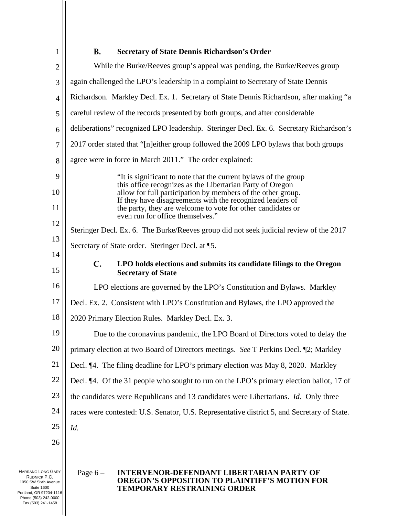1

#### **B. Secretary of State Dennis Richardson's Order**

| $\overline{2}$    | While the Burke/Reeves group's appeal was pending, the Burke/Reeves group                                                                                                             |  |  |  |
|-------------------|---------------------------------------------------------------------------------------------------------------------------------------------------------------------------------------|--|--|--|
| 3                 | again challenged the LPO's leadership in a complaint to Secretary of State Dennis                                                                                                     |  |  |  |
| $\overline{4}$    | Richardson. Markley Decl. Ex. 1. Secretary of State Dennis Richardson, after making "a                                                                                                |  |  |  |
| 5                 | careful review of the records presented by both groups, and after considerable                                                                                                        |  |  |  |
| 6                 | deliberations" recognized LPO leadership. Steringer Decl. Ex. 6. Secretary Richardson's                                                                                               |  |  |  |
| 7                 | 2017 order stated that "[n]either group followed the 2009 LPO bylaws that both groups                                                                                                 |  |  |  |
| 8                 | agree were in force in March 2011." The order explained:                                                                                                                              |  |  |  |
| 9                 | "It is significant to note that the current bylaws of the group                                                                                                                       |  |  |  |
| 10                | this office recognizes as the Libertarian Party of Oregon<br>allow for full participation by members of the other group.<br>If they have disagreements with the recognized leaders of |  |  |  |
| 11                | the party, they are welcome to vote for other candidates or<br>even run for office themselves."                                                                                       |  |  |  |
| 12                | Steringer Decl. Ex. 6. The Burke/Reeves group did not seek judicial review of the 2017                                                                                                |  |  |  |
| 13                | Secretary of State order. Steringer Decl. at ¶5.                                                                                                                                      |  |  |  |
| 14                |                                                                                                                                                                                       |  |  |  |
| 15                | $\mathbf{C}$ .<br>LPO holds elections and submits its candidate filings to the Oregon<br><b>Secretary of State</b>                                                                    |  |  |  |
| 16                | LPO elections are governed by the LPO's Constitution and Bylaws. Markley                                                                                                              |  |  |  |
| 17                | Decl. Ex. 2. Consistent with LPO's Constitution and Bylaws, the LPO approved the                                                                                                      |  |  |  |
| 18                | 2020 Primary Election Rules. Markley Decl. Ex. 3.                                                                                                                                     |  |  |  |
| 19                | Due to the coronavirus pandemic, the LPO Board of Directors voted to delay the                                                                                                        |  |  |  |
| 20                | primary election at two Board of Directors meetings. See T Perkins Decl. [2; Markley                                                                                                  |  |  |  |
| 21                | Decl. ¶4. The filing deadline for LPO's primary election was May 8, 2020. Markley                                                                                                     |  |  |  |
| 22                | Decl. ¶4. Of the 31 people who sought to run on the LPO's primary election ballot, 17 of                                                                                              |  |  |  |
| 23                | the candidates were Republicans and 13 candidates were Libertarians. Id. Only three                                                                                                   |  |  |  |
| 24                | races were contested: U.S. Senator, U.S. Representative district 5, and Secretary of State.                                                                                           |  |  |  |
| 25                | Id.                                                                                                                                                                                   |  |  |  |
| 26                |                                                                                                                                                                                       |  |  |  |
|                   |                                                                                                                                                                                       |  |  |  |
| HARRANG LONG GARY | $P309 6 -$<br>INTERVENOR.DEFENDANT LIBERTARIAN PARTY OF                                                                                                                               |  |  |  |

RUDNICK P.C. 1050 SW Sixth Avenue Suite 1600 Portland, OR 97204-1116 Phone (503) 242-0000 Fax (503) 241-1458

#### Page 6 – **INTERVENOR-DEFENDANT LIBERTARIAN PARTY OF OREGON'S OPPOSITION TO PLAINTIFF'S MOTION FOR TEMPORARY RESTRAINING ORDER**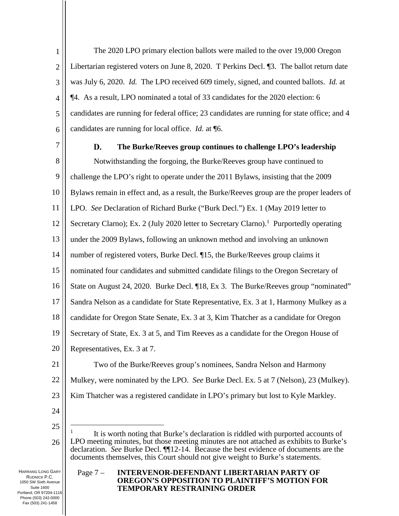1 2 3 4 5 6 The 2020 LPO primary election ballots were mailed to the over 19,000 Oregon Libertarian registered voters on June 8, 2020. T Perkins Decl. ¶3. The ballot return date was July 6, 2020. *Id.* The LPO received 609 timely, signed, and counted ballots. *Id.* at ¶4. As a result, LPO nominated a total of 33 candidates for the 2020 election: 6 candidates are running for federal office; 23 candidates are running for state office; and 4 candidates are running for local office. *Id.* at ¶6.

7

#### D. **The Burke/Reeves group continues to challenge LPO's leadership**

8 9 10 11 12 13 14 15 16 17 18 19 20 21 22 23 24 Notwithstanding the forgoing, the Burke/Reeves group have continued to challenge the LPO's right to operate under the 2011 Bylaws, insisting that the 2009 Bylaws remain in effect and, as a result, the Burke/Reeves group are the proper leaders of LPO. *See* Declaration of Richard Burke ("Burk Decl.") Ex. 1 (May 2019 letter to Secretary Clarno); Ex. 2 (July 2020 letter to Secretary Clarno).<sup>1</sup> Purportedly operating under the 2009 Bylaws, following an unknown method and involving an unknown number of registered voters, Burke Decl. ¶15, the Burke/Reeves group claims it nominated four candidates and submitted candidate filings to the Oregon Secretary of State on August 24, 2020. Burke Decl. ¶18, Ex 3. The Burke/Reeves group "nominated" Sandra Nelson as a candidate for State Representative, Ex. 3 at 1, Harmony Mulkey as a candidate for Oregon State Senate, Ex. 3 at 3, Kim Thatcher as a candidate for Oregon Secretary of State, Ex. 3 at 5, and Tim Reeves as a candidate for the Oregon House of Representatives, Ex. 3 at 7. Two of the Burke/Reeves group's nominees, Sandra Nelson and Harmony Mulkey, were nominated by the LPO. *See* Burke Decl. Ex. 5 at 7 (Nelson), 23 (Mulkey). Kim Thatcher was a registered candidate in LPO's primary but lost to Kyle Markley.

25

26 1 It is worth noting that Burke's declaration is riddled with purported accounts of LPO meeting minutes, but those meeting minutes are not attached as exhibits to Burke's declaration. *See* Burke Decl. ¶¶12-14. Because the best evidence of documents are the documents themselves, this Court should not give weight to Burke's statements.

HARRANG LONG GARY RUDNICK P.C. 1050 SW Sixth Avenue Suite 1600 Portland, OR 97204-1116 Phone (503) 242-0000 Fax (503) 241-1458

### Page 7 – **INTERVENOR-DEFENDANT LIBERTARIAN PARTY OF OREGON'S OPPOSITION TO PLAINTIFF'S MOTION FOR TEMPORARY RESTRAINING ORDER**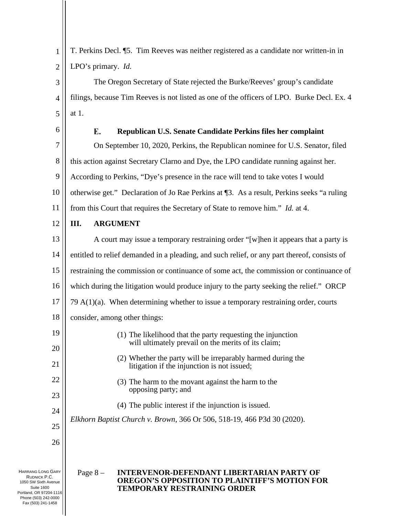1 2 T. Perkins Decl. ¶5. Tim Reeves was neither registered as a candidate nor written-in in LPO's primary. *Id.*

3 4 5 The Oregon Secretary of State rejected the Burke/Reeves' group's candidate filings, because Tim Reeves is not listed as one of the officers of LPO. Burke Decl. Ex. 4 at 1.

6

#### $\mathbf{F}_{\cdot}$ **Republican U.S. Senate Candidate Perkins files her complaint**

7 8 9 10 11 On September 10, 2020, Perkins, the Republican nominee for U.S. Senator, filed this action against Secretary Clarno and Dye, the LPO candidate running against her. According to Perkins, "Dye's presence in the race will tend to take votes I would otherwise get." Declaration of Jo Rae Perkins at ¶3. As a result, Perkins seeks "a ruling from this Court that requires the Secretary of State to remove him." *Id.* at 4.

12

## **III. ARGUMENT**

13 14 15 16 17 18 19 20 21 A court may issue a temporary restraining order "[w]hen it appears that a party is entitled to relief demanded in a pleading, and such relief, or any part thereof, consists of restraining the commission or continuance of some act, the commission or continuance of which during the litigation would produce injury to the party seeking the relief." ORCP 79  $A(1)(a)$ . When determining whether to issue a temporary restraining order, courts consider, among other things: (1) The likelihood that the party requesting the injunction will ultimately prevail on the merits of its claim; (2) Whether the party will be irreparably harmed during the litigation if the injunction is not issued;

- (3) The harm to the movant against the harm to the opposing party; and
- (4) The public interest if the injunction is issued.

*Elkhorn Baptist Church v. Brown*, 366 Or 506, 518-19, 466 P3d 30 (2020).

26

22

23

24

25

HARRANG LONG GARY RUDNICK P.C. 1050 SW Sixth Avenue Suite 1600 Portland, OR 97204-1116 Phone (503) 242-0000 Fax (503) 241-1458

### Page 8 – **INTERVENOR-DEFENDANT LIBERTARIAN PARTY OF OREGON'S OPPOSITION TO PLAINTIFF'S MOTION FOR TEMPORARY RESTRAINING ORDER**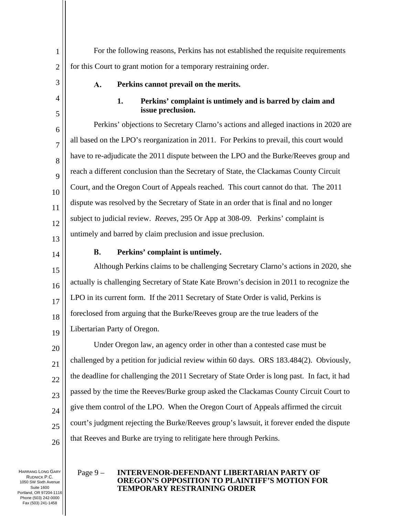1 2 For the following reasons, Perkins has not established the requisite requirements for this Court to grant motion for a temporary restraining order.

3

4

5

6

7

8

9

10

11

12

13

#### **Perkins cannot prevail on the merits.**   $\mathbf{A}$ .

### **1. Perkins' complaint is untimely and is barred by claim and issue preclusion.**

Perkins' objections to Secretary Clarno's actions and alleged inactions in 2020 are all based on the LPO's reorganization in 2011. For Perkins to prevail, this court would have to re-adjudicate the 2011 dispute between the LPO and the Burke/Reeves group and reach a different conclusion than the Secretary of State, the Clackamas County Circuit Court, and the Oregon Court of Appeals reached. This court cannot do that. The 2011 dispute was resolved by the Secretary of State in an order that is final and no longer subject to judicial review. *Reeves,* 295 Or App at 308-09. Perkins' complaint is untimely and barred by claim preclusion and issue preclusion.

14

20

21

23

24

25

26

#### $\mathbf{R}$ . **Perkins' complaint is untimely.**

15 16 17 18 19 Although Perkins claims to be challenging Secretary Clarno's actions in 2020, she actually is challenging Secretary of State Kate Brown's decision in 2011 to recognize the LPO in its current form. If the 2011 Secretary of State Order is valid, Perkins is foreclosed from arguing that the Burke/Reeves group are the true leaders of the Libertarian Party of Oregon.

22 Under Oregon law, an agency order in other than a contested case must be challenged by a petition for judicial review within 60 days. ORS 183.484(2). Obviously, the deadline for challenging the 2011 Secretary of State Order is long past. In fact, it had passed by the time the Reeves/Burke group asked the Clackamas County Circuit Court to give them control of the LPO. When the Oregon Court of Appeals affirmed the circuit court's judgment rejecting the Burke/Reeves group's lawsuit, it forever ended the dispute that Reeves and Burke are trying to relitigate here through Perkins.

HARRANG LONG GARY RUDNICK P.C. 1050 SW Sixth Avenue Suite 1600 Portland, OR 97204-1116 Phone (503) 242-0000 Fax (503) 241-1458

#### Page 9 – **INTERVENOR-DEFENDANT LIBERTARIAN PARTY OF OREGON'S OPPOSITION TO PLAINTIFF'S MOTION FOR TEMPORARY RESTRAINING ORDER**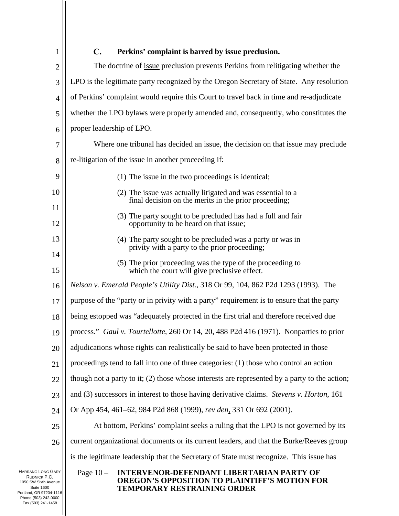| 1                                                                | $\mathbf{C}$ .<br>Perkins' complaint is barred by issue preclusion.                                                  |  |  |  |  |
|------------------------------------------------------------------|----------------------------------------------------------------------------------------------------------------------|--|--|--|--|
| $\overline{2}$                                                   | The doctrine of <u>issue</u> preclusion prevents Perkins from relitigating whether the                               |  |  |  |  |
| 3                                                                | LPO is the legitimate party recognized by the Oregon Secretary of State. Any resolution                              |  |  |  |  |
| $\overline{4}$                                                   | of Perkins' complaint would require this Court to travel back in time and re-adjudicate                              |  |  |  |  |
| 5                                                                | whether the LPO bylaws were properly amended and, consequently, who constitutes the                                  |  |  |  |  |
| 6                                                                | proper leadership of LPO.                                                                                            |  |  |  |  |
| 7                                                                | Where one tribunal has decided an issue, the decision on that issue may preclude                                     |  |  |  |  |
| 8                                                                | re-litigation of the issue in another proceeding if:                                                                 |  |  |  |  |
| 9                                                                | (1) The issue in the two proceedings is identical;                                                                   |  |  |  |  |
| 10                                                               | (2) The issue was actually litigated and was essential to a<br>final decision on the merits in the prior proceeding; |  |  |  |  |
| 11                                                               | (3) The party sought to be precluded has had a full and fair                                                         |  |  |  |  |
| 12                                                               | opportunity to be heard on that issue;                                                                               |  |  |  |  |
| 13                                                               | (4) The party sought to be precluded was a party or was in<br>privity with a party to the prior proceeding;          |  |  |  |  |
| 14                                                               | (5) The prior proceeding was the type of the proceeding to                                                           |  |  |  |  |
| 15                                                               | which the court will give preclusive effect.                                                                         |  |  |  |  |
| 16                                                               | Nelson v. Emerald People's Utility Dist., 318 Or 99, 104, 862 P2d 1293 (1993). The                                   |  |  |  |  |
| 17                                                               | purpose of the "party or in privity with a party" requirement is to ensure that the party                            |  |  |  |  |
| 18                                                               | being estopped was "adequately protected in the first trial and therefore received due                               |  |  |  |  |
| 19                                                               | process." Gaul v. Tourtellotte, 260 Or 14, 20, 488 P2d 416 (1971). Nonparties to prior                               |  |  |  |  |
| 20                                                               | adjudications whose rights can realistically be said to have been protected in those                                 |  |  |  |  |
| 21                                                               | proceedings tend to fall into one of three categories: (1) those who control an action                               |  |  |  |  |
| 22                                                               | though not a party to it; (2) those whose interests are represented by a party to the action;                        |  |  |  |  |
| 23                                                               | and (3) successors in interest to those having derivative claims. Stevens v. Horton, 161                             |  |  |  |  |
| 24                                                               | Or App 454, 461–62, 984 P2d 868 (1999), rev den, 331 Or 692 (2001).                                                  |  |  |  |  |
| 25                                                               | At bottom, Perkins' complaint seeks a ruling that the LPO is not governed by its                                     |  |  |  |  |
| 26                                                               | current organizational documents or its current leaders, and that the Burke/Reeves group                             |  |  |  |  |
|                                                                  | is the legitimate leadership that the Secretary of State must recognize. This issue has                              |  |  |  |  |
| <b>HARRANG LONG GARY</b><br>RUDNICK P.C.<br>1050 SW Sixth Avenue | <b>INTERVENOR-DEFENDANT LIBERTARIAN PARTY OF</b><br>Page $10-$<br>OREGON'S OPPOSITION TO PLAINTIFF'S MOTION FOR      |  |  |  |  |

RUDNICK P.C. 1050 SW Sixth Avenue Suite 1600 Portland, OR 97204-1116 Phone (503) 242-0000 Fax (503) 241-1458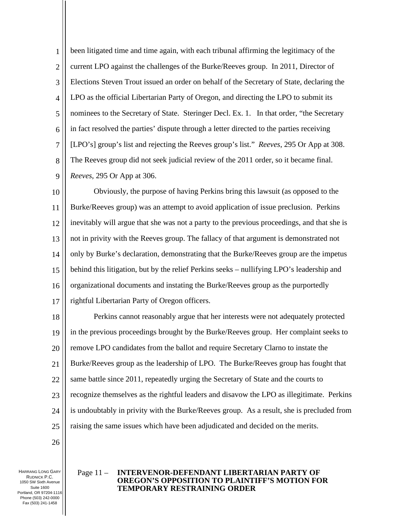1 2 3 4 5 6 7 8 9 been litigated time and time again, with each tribunal affirming the legitimacy of the current LPO against the challenges of the Burke/Reeves group. In 2011, Director of Elections Steven Trout issued an order on behalf of the Secretary of State, declaring the LPO as the official Libertarian Party of Oregon, and directing the LPO to submit its nominees to the Secretary of State. Steringer Decl. Ex. 1. In that order, "the Secretary in fact resolved the parties' dispute through a letter directed to the parties receiving [LPO's] group's list and rejecting the Reeves group's list." *Reeves*, 295 Or App at 308. The Reeves group did not seek judicial review of the 2011 order, so it became final. *Reeves*, 295 Or App at 306.

10 11 12 13 14 15 16 17 Obviously, the purpose of having Perkins bring this lawsuit (as opposed to the Burke/Reeves group) was an attempt to avoid application of issue preclusion. Perkins inevitably will argue that she was not a party to the previous proceedings, and that she is not in privity with the Reeves group. The fallacy of that argument is demonstrated not only by Burke's declaration, demonstrating that the Burke/Reeves group are the impetus behind this litigation, but by the relief Perkins seeks – nullifying LPO's leadership and organizational documents and instating the Burke/Reeves group as the purportedly rightful Libertarian Party of Oregon officers.

18 19 20 21 22 23 24 25 Perkins cannot reasonably argue that her interests were not adequately protected in the previous proceedings brought by the Burke/Reeves group. Her complaint seeks to remove LPO candidates from the ballot and require Secretary Clarno to instate the Burke/Reeves group as the leadership of LPO. The Burke/Reeves group has fought that same battle since 2011, repeatedly urging the Secretary of State and the courts to recognize themselves as the rightful leaders and disavow the LPO as illegitimate. Perkins is undoubtably in privity with the Burke/Reeves group. As a result, she is precluded from raising the same issues which have been adjudicated and decided on the merits.

26

HARRANG LONG GARY RUDNICK P.C. 1050 SW Sixth Avenue Suite 1600 Portland, OR 97204-1116 Phone (503) 242-0000 Fax (503) 241-1458

### Page 11 – **INTERVENOR-DEFENDANT LIBERTARIAN PARTY OF OREGON'S OPPOSITION TO PLAINTIFF'S MOTION FOR TEMPORARY RESTRAINING ORDER**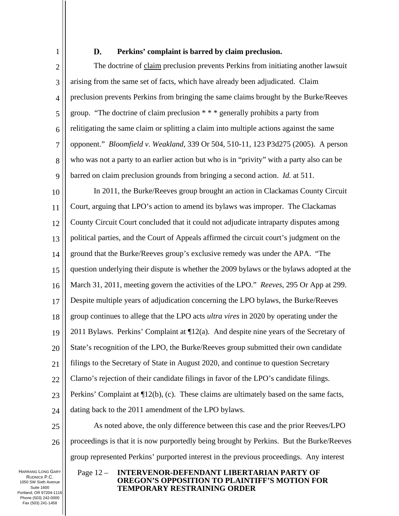1

#### D. **Perkins' complaint is barred by claim preclusion.**

2 3 4 5 6 7 8 9 The doctrine of claim preclusion prevents Perkins from initiating another lawsuit arising from the same set of facts, which have already been adjudicated. Claim preclusion prevents Perkins from bringing the same claims brought by the Burke/Reeves group. "The doctrine of claim preclusion \* \* \* generally prohibits a party from relitigating the same claim or splitting a claim into multiple actions against the same opponent." *Bloomfield v. Weakland*, 339 Or 504, 510-11, 123 P3d275 (2005). A person who was not a party to an earlier action but who is in "privity" with a party also can be barred on claim preclusion grounds from bringing a second action. *Id.* at 511.

10 11 12 13 14 15 16 17 18 19 20 21 22 23 24 In 2011, the Burke/Reeves group brought an action in Clackamas County Circuit Court, arguing that LPO's action to amend its bylaws was improper. The Clackamas County Circuit Court concluded that it could not adjudicate intraparty disputes among political parties, and the Court of Appeals affirmed the circuit court's judgment on the ground that the Burke/Reeves group's exclusive remedy was under the APA. "The question underlying their dispute is whether the 2009 bylaws or the bylaws adopted at the March 31, 2011, meeting govern the activities of the LPO." *Reeves*, 295 Or App at 299. Despite multiple years of adjudication concerning the LPO bylaws, the Burke/Reeves group continues to allege that the LPO acts *ultra vires* in 2020 by operating under the 2011 Bylaws. Perkins' Complaint at ¶12(a). And despite nine years of the Secretary of State's recognition of the LPO, the Burke/Reeves group submitted their own candidate filings to the Secretary of State in August 2020, and continue to question Secretary Clarno's rejection of their candidate filings in favor of the LPO's candidate filings. Perkins' Complaint at ¶12(b), (c). These claims are ultimately based on the same facts, dating back to the 2011 amendment of the LPO bylaws.

25 26 As noted above, the only difference between this case and the prior Reeves/LPO proceedings is that it is now purportedly being brought by Perkins. But the Burke/Reeves group represented Perkins' purported interest in the previous proceedings. Any interest

HARRANG LONG GARY RUDNICK P.C. 1050 SW Sixth Avenue Suite 1600 Portland, OR 97204-1116 Phone (503) 242-0000 Fax (503) 241-1458

#### Page 12 – **INTERVENOR-DEFENDANT LIBERTARIAN PARTY OF OREGON'S OPPOSITION TO PLAINTIFF'S MOTION FOR TEMPORARY RESTRAINING ORDER**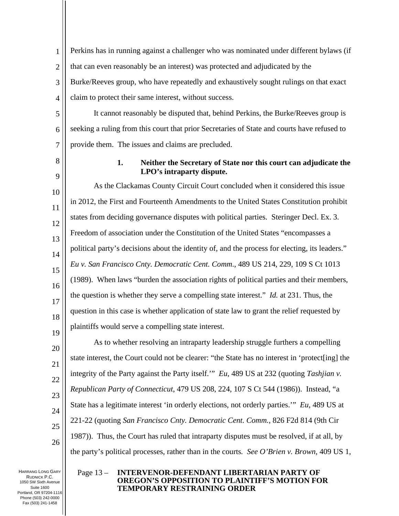1 2 3 4 Perkins has in running against a challenger who was nominated under different bylaws (if that can even reasonably be an interest) was protected and adjudicated by the Burke/Reeves group, who have repeatedly and exhaustively sought rulings on that exact claim to protect their same interest, without success.

5 6 7 It cannot reasonably be disputed that, behind Perkins, the Burke/Reeves group is seeking a ruling from this court that prior Secretaries of State and courts have refused to provide them. The issues and claims are precluded.

8

9

# **1. Neither the Secretary of State nor this court can adjudicate the LPO's intraparty dispute.**

10 11 12 13 14 15 16 17 18 As the Clackamas County Circuit Court concluded when it considered this issue in 2012, the First and Fourteenth Amendments to the United States Constitution prohibit states from deciding governance disputes with political parties. Steringer Decl. Ex. 3. Freedom of association under the Constitution of the United States "encompasses a political party's decisions about the identity of, and the process for electing, its leaders." *Eu v. San Francisco Cnty. Democratic Cent. Comm*., 489 US 214, 229, 109 S Ct 1013 (1989). When laws "burden the association rights of political parties and their members, the question is whether they serve a compelling state interest." *Id.* at 231. Thus, the question in this case is whether application of state law to grant the relief requested by plaintiffs would serve a compelling state interest.

As to whether resolving an intraparty leadership struggle furthers a compelling state interest, the Court could not be clearer: "the State has no interest in 'protect[ing] the integrity of the Party against the Party itself.'" *Eu*, 489 US at 232 (quoting *Tashjian v. Republican Party of Connecticut*, 479 US 208, 224, 107 S Ct 544 (1986)). Instead, "a State has a legitimate interest 'in orderly elections, not orderly parties.'" *Eu*, 489 US at 221-22 (quoting *San Francisco Cnty. Democratic Cent. Comm.*, 826 F2d 814 (9th Cir 1987)). Thus, the Court has ruled that intraparty disputes must be resolved, if at all, by the party's political processes, rather than in the courts*. See O'Brien v. Brown*, 409 US 1,

HARRANG LONG GARY RUDNICK P.C. 1050 SW Sixth Avenue Suite 1600 Portland, OR 97204-1116 Phone (503) 242-0000 Fax (503) 241-1458

### Page 13 – **INTERVENOR-DEFENDANT LIBERTARIAN PARTY OF OREGON'S OPPOSITION TO PLAINTIFF'S MOTION FOR TEMPORARY RESTRAINING ORDER**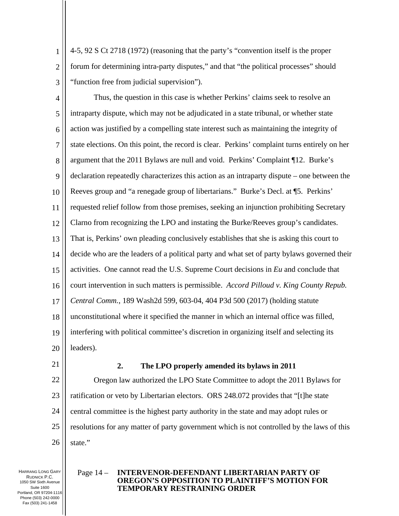1 2 3 4-5, 92 S Ct 2718 (1972) (reasoning that the party's "convention itself is the proper forum for determining intra-party disputes," and that "the political processes" should "function free from judicial supervision").

- 4 5 6 7 8 9 10 11 12 13 14 15 16 17 18 19 20 Thus, the question in this case is whether Perkins' claims seek to resolve an intraparty dispute, which may not be adjudicated in a state tribunal, or whether state action was justified by a compelling state interest such as maintaining the integrity of state elections. On this point, the record is clear. Perkins' complaint turns entirely on her argument that the 2011 Bylaws are null and void. Perkins' Complaint ¶12. Burke's declaration repeatedly characterizes this action as an intraparty dispute – one between the Reeves group and "a renegade group of libertarians." Burke's Decl. at ¶5. Perkins' requested relief follow from those premises, seeking an injunction prohibiting Secretary Clarno from recognizing the LPO and instating the Burke/Reeves group's candidates. That is, Perkins' own pleading conclusively establishes that she is asking this court to decide who are the leaders of a political party and what set of party bylaws governed their activities. One cannot read the U.S. Supreme Court decisions in *Eu* and conclude that court intervention in such matters is permissible. *Accord Pilloud v. King County Repub. Central Comm.*, 189 Wash2d 599, 603-04, 404 P3d 500 (2017) (holding statute unconstitutional where it specified the manner in which an internal office was filled, interfering with political committee's discretion in organizing itself and selecting its leaders).
- 21

#### **2. The LPO properly amended its bylaws in 2011**

22 23 24 25 26 Oregon law authorized the LPO State Committee to adopt the 2011 Bylaws for ratification or veto by Libertarian electors. ORS 248.072 provides that "[t]he state central committee is the highest party authority in the state and may adopt rules or resolutions for any matter of party government which is not controlled by the laws of this state."

HARRANG LONG GARY RUDNICK P.C. 1050 SW Sixth Avenue Suite 1600 Portland, OR 97204-1116 Phone (503) 242-0000 Fax (503) 241-1458

#### Page 14 – **INTERVENOR-DEFENDANT LIBERTARIAN PARTY OF OREGON'S OPPOSITION TO PLAINTIFF'S MOTION FOR TEMPORARY RESTRAINING ORDER**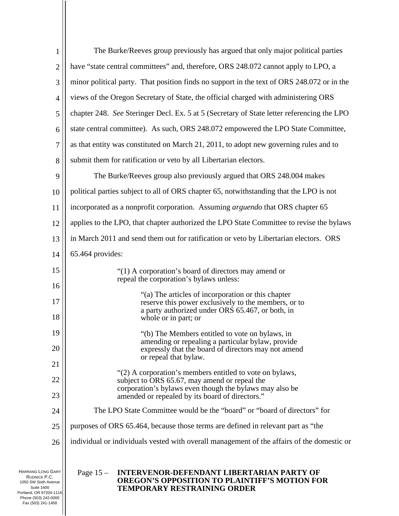| $\mathbf{1}$   | The Burke/Reeves group previously has argued that only major political parties                             |
|----------------|------------------------------------------------------------------------------------------------------------|
| $\overline{2}$ | have "state central committees" and, therefore, ORS 248.072 cannot apply to LPO, a                         |
| 3              | minor political party. That position finds no support in the text of ORS 248.072 or in the                 |
| $\overline{4}$ | views of the Oregon Secretary of State, the official charged with administering ORS                        |
| 5              | chapter 248. See Steringer Decl. Ex. 5 at 5 (Secretary of State letter referencing the LPO                 |
| 6              | state central committee). As such, ORS 248.072 empowered the LPO State Committee,                          |
| 7              | as that entity was constituted on March 21, 2011, to adopt new governing rules and to                      |
| 8              | submit them for ratification or veto by all Libertarian electors.                                          |
| 9              | The Burke/Reeves group also previously argued that ORS 248.004 makes                                       |
| 10             | political parties subject to all of ORS chapter 65, notwithstanding that the LPO is not                    |
| 11             | incorporated as a nonprofit corporation. Assuming arguendo that ORS chapter 65                             |
| 12             | applies to the LPO, that chapter authorized the LPO State Committee to revise the bylaws                   |
| 13             | in March 2011 and send them out for ratification or veto by Libertarian electors. ORS                      |
| 14             | 65.464 provides:                                                                                           |
| 15             | "(1) A corporation's board of directors may amend or                                                       |
| 16             | repeal the corporation's bylaws unless:                                                                    |
| 17             | "(a) The articles of incorporation or this chapter<br>reserve this power exclusively to the members, or to |
| 18             | a party authorized under ORS 65.467, or both, in<br>whole or in part; or                                   |
| 19             | "(b) The Members entitled to vote on bylaws, in                                                            |
| 20             | amending or repealing a particular bylaw, provide<br>expressly that the board of directors may not amend   |
| 21             | or repeal that bylaw.                                                                                      |
| 22             | "(2) A corporation's members entitled to vote on bylaws,<br>subject to ORS 65.67, may amend or repeal the  |
| 23             | corporation's bylaws even though the bylaws may also be<br>amended or repealed by its board of directors." |
| 24             | The LPO State Committee would be the "board" or "board of directors" for                                   |
| 25             | purposes of ORS 65.464, because those terms are defined in relevant part as "the                           |
| 26             | individual or individuals vested with overall management of the affairs of the domestic or                 |
|                |                                                                                                            |

HARRANG LONG GARY RUDNICK P.C. 1050 SW Sixth Avenue Suite 1600 Portland, OR 97204-1116 Phone (503) 242-0000 Fax (503) 241-1458

### Page 15 – **INTERVENOR-DEFENDANT LIBERTARIAN PARTY OF OREGON'S OPPOSITION TO PLAINTIFF'S MOTION FOR TEMPORARY RESTRAINING ORDER**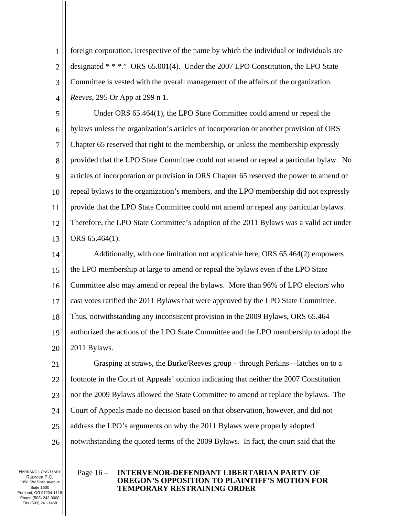1 2 3 4 foreign corporation, irrespective of the name by which the individual or individuals are designated \* \* \*." ORS 65.001(4). Under the 2007 LPO Constitution, the LPO State Committee is vested with the overall management of the affairs of the organization. *Reeves*, 295 Or App at 299 n 1.

5 6 7 8 9 10 11 12 13 Under ORS 65.464(1), the LPO State Committee could amend or repeal the bylaws unless the organization's articles of incorporation or another provision of ORS Chapter 65 reserved that right to the membership, or unless the membership expressly provided that the LPO State Committee could not amend or repeal a particular bylaw. No articles of incorporation or provision in ORS Chapter 65 reserved the power to amend or repeal bylaws to the organization's members, and the LPO membership did not expressly provide that the LPO State Committee could not amend or repeal any particular bylaws. Therefore, the LPO State Committee's adoption of the 2011 Bylaws was a valid act under ORS 65.464(1).

14 15 16 17 18 19 20 Additionally, with one limitation not applicable here, ORS 65.464(2) empowers the LPO membership at large to amend or repeal the bylaws even if the LPO State Committee also may amend or repeal the bylaws. More than 96% of LPO electors who cast votes ratified the 2011 Bylaws that were approved by the LPO State Committee. Thus, notwithstanding any inconsistent provision in the 2009 Bylaws, ORS 65.464 authorized the actions of the LPO State Committee and the LPO membership to adopt the 2011 Bylaws.

21 22 23 24 25 26 Grasping at straws, the Burke/Reeves group – through Perkins—latches on to a footnote in the Court of Appeals' opinion indicating that neither the 2007 Constitution nor the 2009 Bylaws allowed the State Committee to amend or replace the bylaws. The Court of Appeals made no decision based on that observation, however, and did not address the LPO's arguments on why the 2011 Bylaws were properly adopted notwithstanding the quoted terms of the 2009 Bylaws. In fact, the court said that the

HARRANG LONG GARY RUDNICK P.C. 1050 SW Sixth Avenue Suite 1600 Portland, OR 97204-1116 Phone (503) 242-0000 Fax (503) 241-1458

### Page 16 – **INTERVENOR-DEFENDANT LIBERTARIAN PARTY OF OREGON'S OPPOSITION TO PLAINTIFF'S MOTION FOR TEMPORARY RESTRAINING ORDER**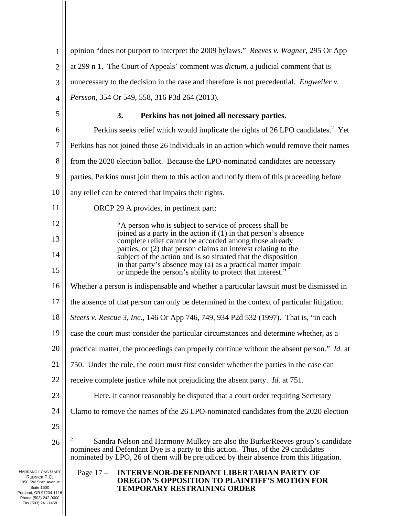Page 17 – **INTERVENOR-DEFENDANT LIBERTARIAN PARTY OF OREGON'S OPPOSITION TO PLAINTIFF'S MOTION FOR TEMPORARY RESTRAINING ORDER**  HARRANG LONG GARY 1 2 3 4 5 6 7 8 9 10 11 12 13 14 15 16 17 18 19 20 21 22 23 24 25 26 opinion "does not purport to interpret the 2009 bylaws." *Reeves v. Wagner*, 295 Or App at 299 n 1. The Court of Appeals' comment was *dictum*, a judicial comment that is unnecessary to the decision in the case and therefore is not precedential. *Engweiler v. Persson,* 354 Or 549, 558, 316 P3d 264 (2013). **3. Perkins has not joined all necessary parties.**  Perkins seeks relief which would implicate the rights of  $26$  LPO candidates.<sup>2</sup> Yet Perkins has not joined those 26 individuals in an action which would remove their names from the 2020 election ballot. Because the LPO-nominated candidates are necessary parties, Perkins must join them to this action and notify them of this proceeding before any relief can be entered that impairs their rights. ORCP 29 A provides, in pertinent part: "A person who is subject to service of process shall be joined as a party in the action if (1) in that person's absence complete relief cannot be accorded among those already parties, or (2) that person claims an interest relating to the subject of the action and is so situated that the disposition in that party's absence may (a) as a practical matter impair or impede the person's ability to protect that interest." Whether a person is indispensable and whether a particular lawsuit must be dismissed in the absence of that person can only be determined in the context of particular litigation. *Steers v. Rescue 3, Inc.*, 146 Or App 746, 749, 934 P2d 532 (1997). That is, "in each case the court must consider the particular circumstances and determine whether, as a practical matter, the proceedings can properly continue without the absent person." *Id.* at 750. Under the rule, the court must first consider whether the parties in the case can receive complete justice while not prejudicing the absent party. *Id.* at 751. Here, it cannot reasonably be disputed that a court order requiring Secretary Clarno to remove the names of the 26 LPO-nominated candidates from the 2020 election 2 Sandra Nelson and Harmony Mulkey are also the Burke/Reeves group's candidate nominees and Defendant Dye is a party to this action. Thus, of the 29 candidates nominated by LPO, 26 of them will be prejudiced by their absence from this litigation.

RUDNICK P.C. 1050 SW Sixth Avenue Suite 1600 Portland, OR 97204-1116 Phone (503) 242-0000 Fax (503) 241-1458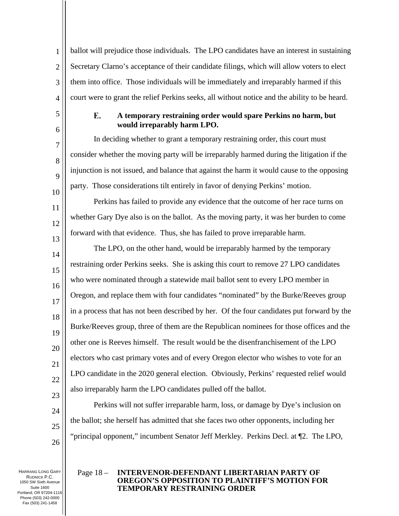1 2 3 4 ballot will prejudice those individuals. The LPO candidates have an interest in sustaining Secretary Clarno's acceptance of their candidate filings, which will allow voters to elect them into office. Those individuals will be immediately and irreparably harmed if this court were to grant the relief Perkins seeks, all without notice and the ability to be heard.

#### E. **A temporary restraining order would spare Perkins no harm, but would irreparably harm LPO.**

In deciding whether to grant a temporary restraining order, this court must consider whether the moving party will be irreparably harmed during the litigation if the injunction is not issued, and balance that against the harm it would cause to the opposing party. Those considerations tilt entirely in favor of denying Perkins' motion.

Perkins has failed to provide any evidence that the outcome of her race turns on whether Gary Dye also is on the ballot. As the moving party, it was her burden to come forward with that evidence. Thus, she has failed to prove irreparable harm.

14 15 16 17 18 19 20 21 22 23 The LPO, on the other hand, would be irreparably harmed by the temporary restraining order Perkins seeks. She is asking this court to remove 27 LPO candidates who were nominated through a statewide mail ballot sent to every LPO member in Oregon, and replace them with four candidates "nominated" by the Burke/Reeves group in a process that has not been described by her. Of the four candidates put forward by the Burke/Reeves group, three of them are the Republican nominees for those offices and the other one is Reeves himself. The result would be the disenfranchisement of the LPO electors who cast primary votes and of every Oregon elector who wishes to vote for an LPO candidate in the 2020 general election. Obviously, Perkins' requested relief would also irreparably harm the LPO candidates pulled off the ballot.

Perkins will not suffer irreparable harm, loss, or damage by Dye's inclusion on the ballot; she herself has admitted that she faces two other opponents, including her "principal opponent," incumbent Senator Jeff Merkley. Perkins Decl. at ¶2. The LPO,

HARRANG LONG GARY RUDNICK P.C. 1050 SW Sixth Avenue Suite 1600 Portland, OR 97204-1116 Phone (503) 242-0000 Fax (503) 241-1458

24

25

26

5

6

7

8

9

10

11

12

13

### Page 18 – **INTERVENOR-DEFENDANT LIBERTARIAN PARTY OF OREGON'S OPPOSITION TO PLAINTIFF'S MOTION FOR TEMPORARY RESTRAINING ORDER**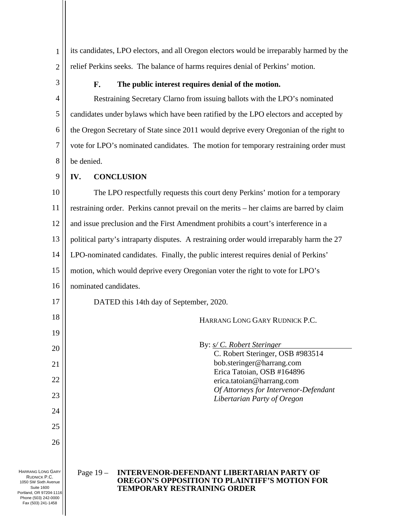1 2 its candidates, LPO electors, and all Oregon electors would be irreparably harmed by the relief Perkins seeks. The balance of harms requires denial of Perkins' motion.

3

#### $\mathbf{F}_{\cdot}$ **The public interest requires denial of the motion.**

4 5 6 7 8 Restraining Secretary Clarno from issuing ballots with the LPO's nominated candidates under bylaws which have been ratified by the LPO electors and accepted by the Oregon Secretary of State since 2011 would deprive every Oregonian of the right to vote for LPO's nominated candidates. The motion for temporary restraining order must be denied.

9

# **IV. CONCLUSION**

10 11 12 13 14 15 16 17 18 19 20 21 22 23 24 25 26 The LPO respectfully requests this court deny Perkins' motion for a temporary restraining order. Perkins cannot prevail on the merits – her claims are barred by claim and issue preclusion and the First Amendment prohibits a court's interference in a political party's intraparty disputes. A restraining order would irreparably harm the 27 LPO-nominated candidates. Finally, the public interest requires denial of Perkins' motion, which would deprive every Oregonian voter the right to vote for LPO's nominated candidates. DATED this 14th day of September, 2020. HARRANG LONG GARY RUDNICK P.C. By: *s/ C. Robert Steringer* C. Robert Steringer, OSB #983514 bob.steringer@harrang.com Erica Tatoian, OSB #164896 erica.tatoian@harrang.com *Of Attorneys for Intervenor-Defendant Libertarian Party of Oregon*

HARRANG LONG GARY RUDNICK P.C. 1050 SW Sixth Avenue Suite 1600 Portland, OR 97204-1116 Phone (503) 242-0000 Fax (503) 241-1458

Page 19 – **INTERVENOR-DEFENDANT LIBERTARIAN PARTY OF OREGON'S OPPOSITION TO PLAINTIFF'S MOTION FOR TEMPORARY RESTRAINING ORDER**